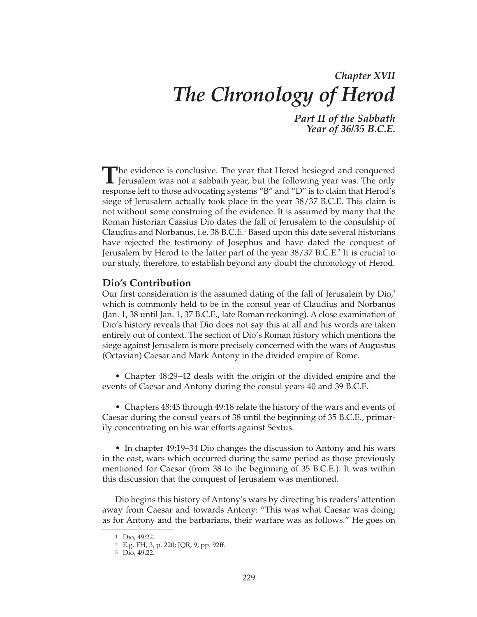# *Chapter XVII The Chronology of Herod*

*Part II of the Sabbath Year of 36/35 B.C.E.*

The evidence is conclusive. The year that Herod besieged and conquered<br>Jerusalem was not a sabbath year, but the following year was. The only response left to those advocating systems "B" and "D" is to claim that Herod's siege of Jerusalem actually took place in the year 38/37 B.C.E. This claim is not without some construing of the evidence. It is assumed by many that the Roman historian Cassius Dio dates the fall of Jerusalem to the consulship of Claudius and Norbanus, i.e. 38 B.C.E.<sup>1</sup> Based upon this date several historians have rejected the testimony of Josephus and have dated the conquest of Jerusalem by Herod to the latter part of the year 38/37 B.C.E.<sup>2</sup> It is crucial to our study, therefore, to establish beyond any doubt the chronology of Herod.

## **Dio's Contribution**

Our first consideration is the assumed dating of the fall of Jerusalem by  $\rho$ io, $\delta$ which is commonly held to be in the consul year of Claudius and Norbanus (Jan. 1, 38 until Jan. 1, 37 B.C.E., late Roman reckoning). A close examination of Dio's history reveals that Dio does not say this at all and his words are taken entirely out of context. The section of Dio's Roman history which mentions the siege against Jerusalem is more precisely concerned with the wars of Augustus (Octavian) Caesar and Mark Antony in the divided empire of Rome.

• Chapter 48:29–42 deals with the origin of the divided empire and the events of Caesar and Antony during the consul years 40 and 39 B.C.E.

• Chapters 48:43 through 49:18 relate the history of the wars and events of Caesar during the consul years of 38 until the beginning of 35 B.C.E., primarily concentrating on his war efforts against Sextus.

• In chapter 49:19–34 Dio changes the discussion to Antony and his wars in the east, wars which occurred during the same period as those previously mentioned for Caesar (from 38 to the beginning of 35 B.C.E.). It was within this discussion that the conquest of Jerusalem was mentioned.

Dio begins this history of Antony's wars by directing his readers' attention away from Caesar and towards Antony: "This was what Caesar was doing; as for Antony and the barbarians, their warfare was as follows." He goes on

<sup>1</sup> Dio, 49:22.

<sup>2</sup> E.g. FH, 3, p. 220; JQR, 9, pp. 92ff.

<sup>3</sup> Dio, 49:22.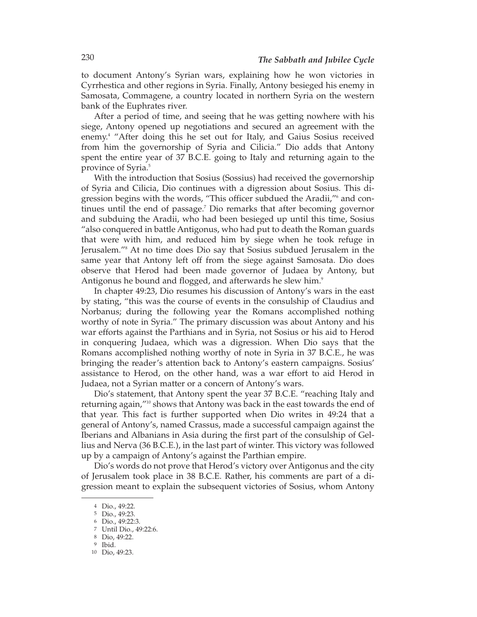to document Antony's Syrian wars, explaining how he won victories in Cyrrhestica and other regions in Syria. Finally, Antony besieged his enemy in Samosata, Commagene, a country located in northern Syria on the western bank of the Euphrates river.

After a period of time, and seeing that he was getting nowhere with his siege, Antony opened up negotiations and secured an agreement with the enemy.4 "After doing this he set out for Italy, and Gaius Sosius received from him the governorship of Syria and Cilicia." Dio adds that Antony spent the entire year of 37 B.C.E. going to Italy and returning again to the province of Syria.5

With the introduction that Sosius (Sossius) had received the governorship of Syria and Cilicia, Dio continues with a digression about Sosius. This digression begins with the words, "This officer subdued the Aradii,"6 and continues until the end of passage.7 Dio remarks that after becoming governor and subduing the Aradii, who had been besieged up until this time, Sosius "also conquered in battle Antigonus, who had put to death the Roman guards that were with him, and reduced him by siege when he took refuge in Jerusalem."8 At no time does Dio say that Sosius subdued Jerusalem in the same year that Antony left off from the siege against Samosata. Dio does observe that Herod had been made governor of Judaea by Antony, but Antigonus he bound and flogged, and afterwards he slew him.<sup>9</sup>

In chapter 49:23, Dio resumes his discussion of Antony's wars in the east by stating, "this was the course of events in the consulship of Claudius and Norbanus; during the following year the Romans accomplished nothing worthy of note in Syria." The primary discussion was about Antony and his war efforts against the Parthians and in Syria, not Sosius or his aid to Herod in conquering Judaea, which was a digression. When Dio says that the Romans accomplished nothing worthy of note in Syria in 37 B.C.E., he was bringing the reader's attention back to Antony's eastern campaigns. Sosius' assistance to Herod, on the other hand, was a war effort to aid Herod in Judaea, not a Syrian matter or a concern of Antony's wars.

Dio's statement, that Antony spent the year 37 B.C.E. "reaching Italy and returning again,"10 shows that Antony was back in the east towards the end of that year. This fact is further supported when Dio writes in 49:24 that a general of Antony's, named Crassus, made a successful campaign against the Iberians and Albanians in Asia during the first part of the consulship of Gellius and Nerva (36 B.C.E.), in the last part of winter. This victory was followed up by a campaign of Antony's against the Parthian empire.

Dio's words do not prove that Herod's victory over Antigonus and the city of Jerusalem took place in 38 B.C.E. Rather, his comments are part of a digression meant to explain the subsequent victories of Sosius, whom Antony

<sup>4</sup> Dio., 49:22.

<sup>5</sup> Dio., 49:23.

<sup>6</sup> Dio., 49:22:3.

<sup>7</sup> Until Dio., 49:22:6.

<sup>8</sup> Dio, 49:22.

<sup>9</sup> Ibid.

<sup>10</sup> Dio, 49:23.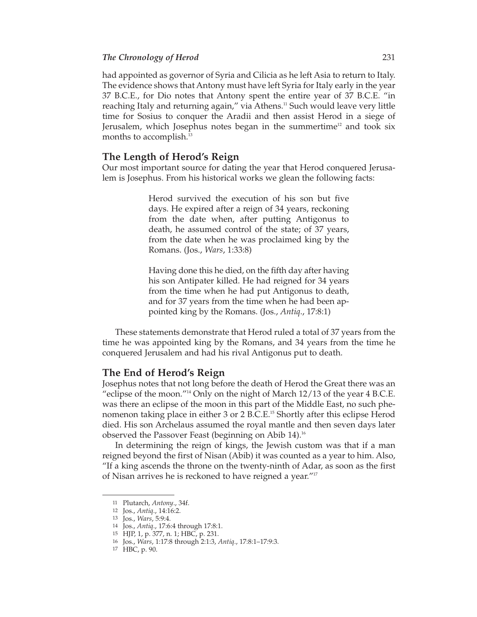had appointed as governor of Syria and Cilicia as he left Asia to return to Italy. The evidence shows that Antony must have left Syria for Italy early in the year 37 B.C.E., for Dio notes that Antony spent the entire year of 37 B.C.E. "in reaching Italy and returning again," via Athens.<sup>11</sup> Such would leave very little time for Sosius to conquer the Aradii and then assist Herod in a siege of Jerusalem, which Josephus notes began in the summertime<sup>12</sup> and took six months to accomplish.<sup>13</sup>

#### **The Length of Herod's Reign**

Our most important source for dating the year that Herod conquered Jerusalem is Josephus. From his historical works we glean the following facts:

> Herod survived the execution of his son but five days. He expired after a reign of 34 years, reckoning from the date when, after putting Antigonus to death, he assumed control of the state; of 37 years, from the date when he was proclaimed king by the Romans. (Jos., *Wars*, 1:33:8)

> Having done this he died, on the fifth day after having his son Antipater killed. He had reigned for 34 years from the time when he had put Antigonus to death, and for 37 years from the time when he had been appointed king by the Romans. (Jos., *Antiq*., 17:8:1)

These statements demonstrate that Herod ruled a total of 37 years from the time he was appointed king by the Romans, and 34 years from the time he conquered Jerusalem and had his rival Antigonus put to death.

#### **The End of Herod's Reign**

Josephus notes that not long before the death of Herod the Great there was an "eclipse of the moon."14 Only on the night of March 12/13 of the year 4 B.C.E. was there an eclipse of the moon in this part of the Middle East, no such phenomenon taking place in either 3 or 2 B.C.E.15 Shortly after this eclipse Herod died. His son Archelaus assumed the royal mantle and then seven days later observed the Passover Feast (beginning on Abib 14).16

In determining the reign of kings, the Jewish custom was that if a man reigned beyond the first of Nisan (Abib) it was counted as a year to him. Also, "If a king ascends the throne on the twenty-ninth of Adar, as soon as the first of Nisan arrives he is reckoned to have reigned a year."17

<sup>11</sup> Plutarch, *Antony*., 34f.

<sup>12</sup> Jos., *Antiq*., 14:16:2.

<sup>13</sup> Jos., *Wars*, 5:9:4.

<sup>14</sup> Jos., *Antiq*., 17:6:4 through 17:8:1.

<sup>15</sup> HJP, 1, p. 377, n. 1; HBC, p. 231.

<sup>16</sup> Jos., *Wars*, 1:17:8 through 2:1:3, *Antiq*., 17:8:1–17:9:3.

<sup>17</sup> HBC, p. 90.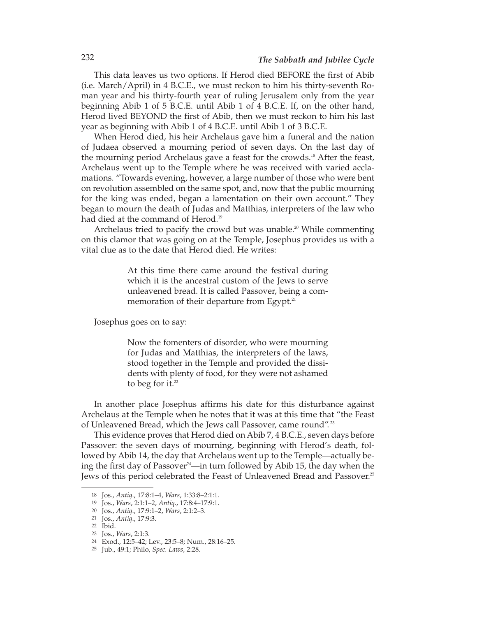This data leaves us two options. If Herod died BEFORE the first of Abib (i.e. March/April) in 4 B.C.E., we must reckon to him his thirty-seventh Roman year and his thirty-fourth year of ruling Jerusalem only from the year beginning Abib 1 of 5 B.C.E. until Abib 1 of 4 B.C.E. If, on the other hand, Herod lived BEYOND the first of Abib, then we must reckon to him his last year as beginning with Abib 1 of 4 B.C.E. until Abib 1 of 3 B.C.E.

When Herod died, his heir Archelaus gave him a funeral and the nation of Judaea observed a mourning period of seven days. On the last day of the mourning period Archelaus gave a feast for the crowds.18 After the feast, Archelaus went up to the Temple where he was received with varied acclamations. "Towards evening, however, a large number of those who were bent on revolution assembled on the same spot, and, now that the public mourning for the king was ended, began a lamentation on their own account." They began to mourn the death of Judas and Matthias, interpreters of the law who had died at the command of Herod.<sup>19</sup>

Archelaus tried to pacify the crowd but was unable.<sup>20</sup> While commenting on this clamor that was going on at the Temple, Josephus provides us with a vital clue as to the date that Herod died. He writes:

> At this time there came around the festival during which it is the ancestral custom of the Jews to serve unleavened bread. It is called Passover, being a commemoration of their departure from Egypt.<sup>21</sup>

Josephus goes on to say:

Now the fomenters of disorder, who were mourning for Judas and Matthias, the interpreters of the laws, stood together in the Temple and provided the dissidents with plenty of food, for they were not ashamed to beg for it. $22$ 

In another place Josephus affirms his date for this disturbance against Archelaus at the Temple when he notes that it was at this time that "the Feast of Unleavened Bread, which the Jews call Passover, came round".<sup>23</sup>

This evidence proves that Herod died on Abib 7, 4 B.C.E., seven days before Passover: the seven days of mourning, beginning with Herod's death, followed by Abib 14, the day that Archelaus went up to the Temple—actually be ing the first day of Passover<sup>24</sup>—in turn followed by Abib 15, the day when the Jews of this period celebrated the Feast of Unleavened Bread and Passover.<sup>25</sup>

<sup>18</sup> Jos., *Antiq*., 17:8:1–4, *Wars*, 1:33:8–2:1:1.

<sup>19</sup> Jos., *Wars*, 2:1:1–2, *Antiq*., 17:8:4–17:9:1.

<sup>20</sup> Jos., *Antiq*., 17:9:1–2, *Wars*, 2:1:2–3.

<sup>21</sup> Jos., *Antiq*., 17:9:3.

<sup>22</sup> Ibid.

<sup>23</sup> Jos., *Wars*, 2:1:3.

<sup>24</sup> Exod., 12:5–42; Lev., 23:5–8; Num., 28:16–25.

<sup>25</sup> Jub., 49:1; Philo, *Spec. Laws*, 2:28.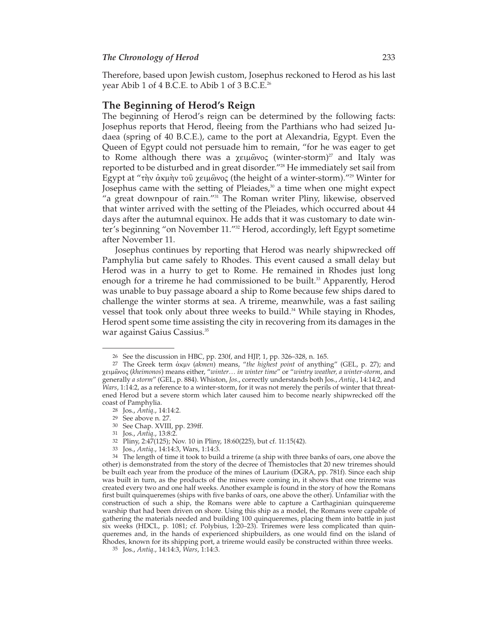Therefore, based upon Jewish custom, Josephus reckoned to Herod as his last year Abib 1 of 4 B.C.E. to Abib 1 of 3 B.C.E.26

#### **The Beginning of Herod's Reign**

The beginning of Herod's reign can be determined by the following facts: Josephus reports that Herod, fleeing from the Parthians who had seized Judaea (spring of 40 B.C.E.), came to the port at Alexandria, Egypt. Even the Queen of Egypt could not persuade him to remain, "for he was eager to get to Rome although there was a χειμῶνος (winter-storm)<sup>27</sup> and Italy was reported to be disturbed and in great disorder."28 He immediately set sail from Egypt at "τὴν ἀκμὴν τοῦ χειμῶνος (the height of a winter-storm)."29 Winter for Josephus came with the setting of Pleiades,<sup>30</sup> a time when one might expect "a great downpour of rain."<sup>31</sup> The Roman writer Pliny, likewise, observed that winter arrived with the setting of the Pleiades, which occurred about 44 days after the autumnal equinox. He adds that it was customary to date winter's beginning "on November 11."<sup>32</sup> Herod, accordingly, left Egypt sometime after November 11.

Josephus continues by reporting that Herod was nearly shipwrecked off Pamphylia but came safely to Rhodes. This event caused a small delay but Herod was in a hurry to get to Rome. He remained in Rhodes just long enough for a trireme he had commissioned to be built.<sup>33</sup> Apparently, Herod was unable to buy passage aboard a ship to Rome because few ships dared to challenge the winter storms at sea. A trireme, meanwhile, was a fast sailing vessel that took only about three weeks to build.<sup>34</sup> While staying in Rhodes, Herod spent some time assisting the city in recovering from its damages in the war against Gaius Cassius.35

<sup>26</sup> See the discussion in HBC, pp. 230f, and HJP, 1, pp. 326–328, n. 165.

<sup>27</sup> The Greek term ἀκμν (*akmen*) means, "*the highest point* of anything" (GEL, p. 27); and χειμῶνος (*kheimonos*) means either, "*winter… in winter time*" or "*wintry weather, a winter-storm*, and generally *a storm*" (GEL, p. 884). Whiston, *Jos*., correctly understands both Jos., *Antiq*., 14:14:2, and *Wars*, 1:14:2, as a reference to a winter-storm, for it was not merely the perils of winter that threatened Herod but a severe storm which later caused him to become nearly shipwrecked off the coast of Pamphylia.

<sup>28</sup> Jos., *Antiq*., 14:14:2.

<sup>29</sup> See above n. 27.

<sup>30</sup> See Chap. XVIII, pp. 239ff.

<sup>31</sup> Jos., *Antiq*., 13:8:2.

<sup>32</sup> Pliny, 2:47(125); Nov. 10 in Pliny, 18:60(225), but cf. 11:15(42).

<sup>33</sup> Jos., *Antiq*., 14:14:3, Wars, 1:14:3.

<sup>34</sup> The length of time it took to build a trireme (a ship with three banks of oars, one above the other) is demonstrated from the story of the decree of Themistocles that 20 new triremes should be built each year from the produce of the mines of Laurium (DGRA, pp. 781f). Since each ship was built in turn, as the products of the mines were coming in, it shows that one trireme was created every two and one half weeks. Another example is found in the story of how the Romans first built quinqueremes (ships with five banks of oars, one above the other). Unfamiliar with the construction of such a ship, the Romans were able to capture a Carthaginian quinquereme warship that had been driven on shore. Using this ship as a model, the Romans were capable of gathering the materials needed and building 100 quinqueremes, placing them into battle in just six weeks (HDCL, p. 1081; cf. Polybius, 1:20–23). Triremes were less complicated than quinqueremes and, in the hands of experienced shipbuilders, as one would find on the island of Rhodes, known for its shipping port, a trireme would easily be constructed within three weeks.

<sup>35</sup> Jos., *Antiq*., 14:14:3, *Wars*, 1:14:3.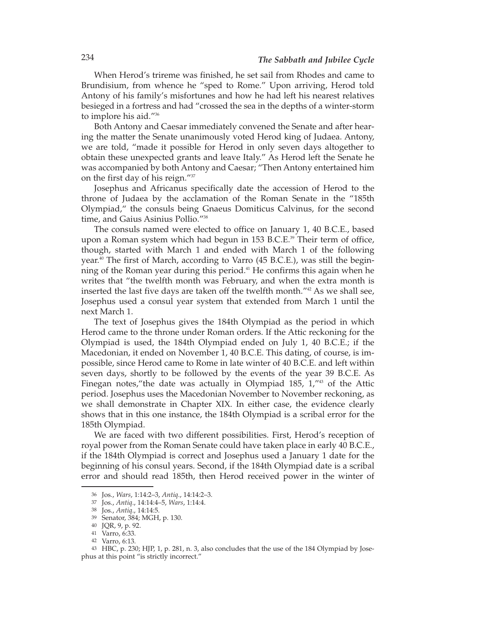When Herod's trireme was finished, he set sail from Rhodes and came to Brundisium, from whence he "sped to Rome." Upon arriving, Herod told Antony of his family's misfortunes and how he had left his nearest relatives besieged in a fortress and had "crossed the sea in the depths of a winter-storm to implore his aid."36

Both Antony and Caesar immediately convened the Senate and after hear ing the matter the Senate unanimously voted Herod king of Judaea. Antony, we are told, "made it possible for Herod in only seven days altogether to obtain these unexpected grants and leave Italy." As Herod left the Senate he was accompanied by both Antony and Caesar; "Then Antony entertained him on the first day of his reign."37

Josephus and Africanus specifically date the accession of Herod to the throne of Judaea by the acclamation of the Roman Senate in the "185th Olympiad," the consuls being Gnaeus Domiticus Calvinus, for the second time, and Gaius Asinius Pollio."38

The consuls named were elected to office on January 1, 40 B.C.E., based upon a Roman system which had begun in 153 B.C.E. $39$  Their term of office, though, started with March 1 and ended with March 1 of the following year.40 The first of March, according to Varro (45 B.C.E.), was still the beginning of the Roman year during this period.<sup>41</sup> He confirms this again when he writes that "the twelfth month was February, and when the extra month is inserted the last five days are taken off the twelfth month."42 As we shall see, Josephus used a consul year system that extended from March 1 until the next March 1.

The text of Josephus gives the 184th Olympiad as the period in which Herod came to the throne under Roman orders. If the Attic reckoning for the Olympiad is used, the 184th Olympiad ended on July 1, 40 B.C.E.; if the Macedonian, it ended on November 1, 40 B.C.E. This dating, of course, is impossible, since Herod came to Rome in late winter of 40 B.C.E. and left within seven days, shortly to be followed by the events of the year 39 B.C.E. As Finegan notes, "the date was actually in Olympiad 185,  $1''^{43}$  of the Attic period. Josephus uses the Macedonian November to November reckoning, as we shall demonstrate in Chapter XIX. In either case, the evidence clearly shows that in this one instance, the 184th Olympiad is a scribal error for the 185th Olympiad.

We are faced with two different possibilities. First, Herod's reception of royal power from the Roman Senate could have taken place in early 40 B.C.E., if the 184th Olympiad is correct and Josephus used a January 1 date for the beginning of his consul years. Second, if the 184th Olympiad date is a scribal error and should read 185th, then Herod received power in the winter of

<sup>36</sup> Jos., *Wars*, 1:14:2–3, *Antiq*., 14:14:2–3.

<sup>37</sup> Jos., *Antiq*., 14:14:4–5, *Wars*, 1:14:4.

<sup>38</sup> Jos., *Antiq*., 14:14:5.

<sup>39</sup> Senator, 384; MGH, p. 130.

<sup>40</sup> JQR, 9, p. 92.

<sup>41</sup> Varro, 6:33.

<sup>42</sup> Varro, 6:13.

<sup>43</sup> HBC, p. 230; HJP, 1, p. 281, n. 3, also concludes that the use of the 184 Olympiad by Josephus at this point "is strictly incorrect."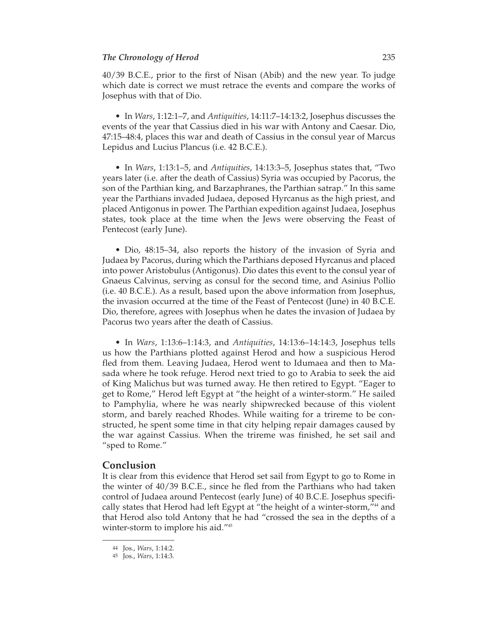40/39 B.C.E., prior to the first of Nisan (Abib) and the new year. To judge which date is correct we must retrace the events and compare the works of Josephus with that of Dio.

• In *Wars*, 1:12:1–7, and *Antiquities*, 14:11:7–14:13:2, Josephus discusses the events of the year that Cassius died in his war with Antony and Caesar. Dio, 47:15–48:4, places this war and death of Cassius in the consul year of Marcus Lepidus and Lucius Plancus (i.e. 42 B.C.E.).

• In *Wars*, 1:13:1–5, and *Antiquities*, 14:13:3–5, Josephus states that, "Two years later (i.e. after the death of Cassius) Syria was occupied by Pacorus, the son of the Parthian king, and Barzaphranes, the Parthian satrap." In this same year the Parthians invaded Judaea, deposed Hyrcanus as the high priest, and placed Antigonus in power. The Parthian expedition against Judaea, Josephus states, took place at the time when the Jews were observing the Feast of Pentecost (early June).

• Dio, 48:15–34, also reports the history of the invasion of Syria and Judaea by Pacorus, during which the Parthians deposed Hyrcanus and placed into power Aristobulus (Antigonus). Dio dates this event to the consul year of Gnaeus Calvinus, serving as consul for the second time, and Asinius Pollio (i.e. 40 B.C.E.). As a result, based upon the above information from Josephus, the invasion occurred at the time of the Feast of Pentecost (June) in 40 B.C.E. Dio, therefore, agrees with Josephus when he dates the invasion of Judaea by Pacorus two years after the death of Cassius.

• In *Wars*, 1:13:6–1:14:3, and *Antiquities*, 14:13:6–14:14:3, Josephus tells us how the Parthians plotted against Herod and how a suspicious Herod fled from them. Leaving Judaea, Herod went to Idumaea and then to Masada where he took refuge. Herod next tried to go to Arabia to seek the aid of King Malichus but was turned away. He then retired to Egypt. "Eager to get to Rome," Herod left Egypt at "the height of a winter-storm." He sailed to Pamphylia, where he was nearly shipwrecked because of this violent storm, and barely reached Rhodes. While waiting for a trireme to be constructed, he spent some time in that city helping repair damages caused by the war against Cassius. When the trireme was finished, he set sail and "sped to Rome."

### **Conclusion**

It is clear from this evidence that Herod set sail from Egypt to go to Rome in the winter of 40/39 B.C.E., since he fled from the Parthians who had taken control of Judaea around Pentecost (early June) of 40 B.C.E. Josephus specifically states that Herod had left Egypt at "the height of a winter-storm,"44 and that Herod also told Antony that he had "crossed the sea in the depths of a winter-storm to implore his aid."45

<sup>44</sup> Jos., *Wars*, 1:14:2.

<sup>45</sup> Jos., *Wars*, 1:14:3.